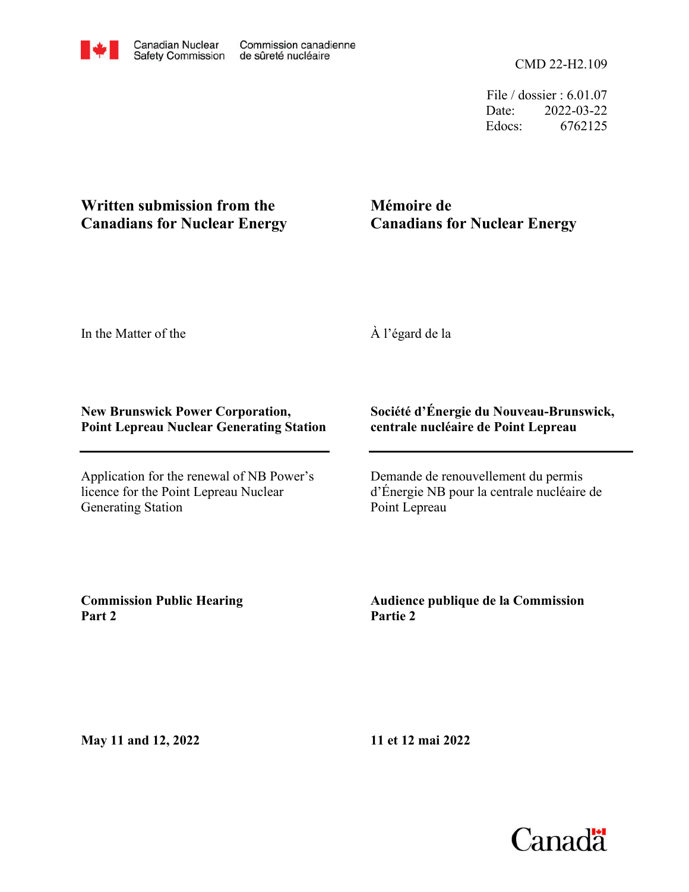

CMD 22-H2.109

File / dossier : 6.01.07 Date: 2022-03-22 Edocs: 6762125

## **Written submission from the Canadians for Nuclear Energy**

## **Mémoire de Canadians for Nuclear Energy**

In the Matter of the

À l'égard de la

## **New Brunswick Power Corporation, Point Lepreau Nuclear Generating Station**

Application for the renewal of NB Power's licence for the Point Lepreau Nuclear Generating Station

## **Société d'Énergie du Nouveau-Brunswick, centrale nucléaire de Point Lepreau**

Demande de renouvellement du permis d'Énergie NB pour la centrale nucléaire de Point Lepreau

**Commission Public Hearing Part 2**

**Audience publique de la Commission Partie 2**

**May 11 and 12, 2022**

**11 et 12 mai 2022**

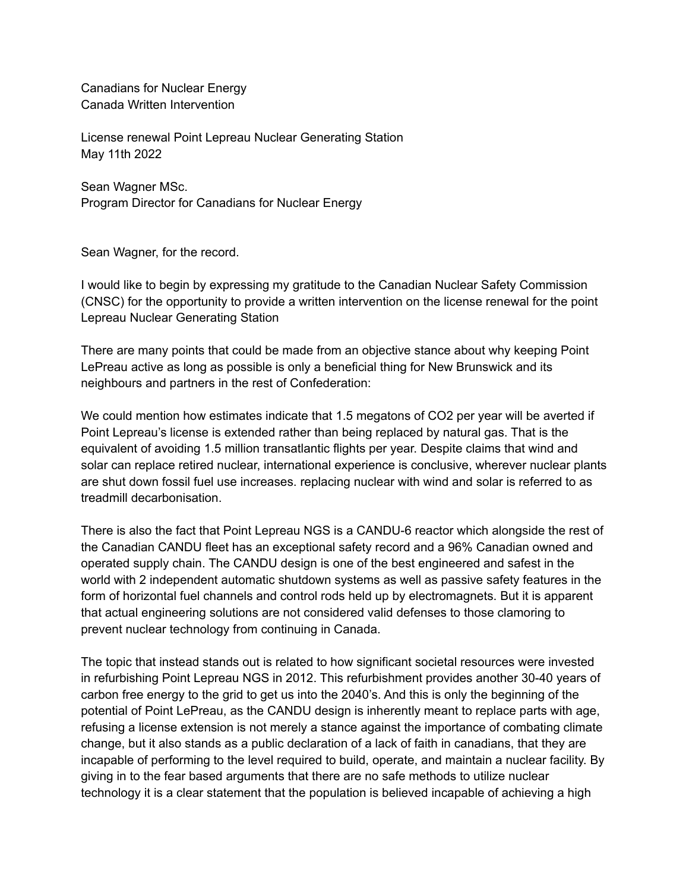Canadians for Nuclear Energy Canada Written Intervention

License renewal Point Lepreau Nuclear Generating Station May 11th 2022

Sean Wagner MSc. Program Director for Canadians for Nuclear Energy

Sean Wagner, for the record.

I would like to begin by expressing my gratitude to the Canadian Nuclear Safety Commission (CNSC) for the opportunity to provide a written intervention on the license renewal for the point Lepreau Nuclear Generating Station

There are many points that could be made from an objective stance about why keeping Point LePreau active as long as possible is only a beneficial thing for New Brunswick and its neighbours and partners in the rest of Confederation:

We could mention how estimates indicate that 1.5 megatons of CO2 per year will be averted if Point Lepreau's license is extended rather than being replaced by natural gas. That is the equivalent of avoiding 1.5 million transatlantic flights per year. Despite claims that wind and solar can replace retired nuclear, international experience is conclusive, wherever nuclear plants are shut down fossil fuel use increases. replacing nuclear with wind and solar is referred to as treadmill decarbonisation.

There is also the fact that Point Lepreau NGS is a CANDU-6 reactor which alongside the rest of the Canadian CANDU fleet has an exceptional safety record and a 96% Canadian owned and operated supply chain. The CANDU design is one of the best engineered and safest in the world with 2 independent automatic shutdown systems as well as passive safety features in the form of horizontal fuel channels and control rods held up by electromagnets. But it is apparent that actual engineering solutions are not considered valid defenses to those clamoring to prevent nuclear technology from continuing in Canada.

The topic that instead stands out is related to how significant societal resources were invested in refurbishing Point Lepreau NGS in 2012. This refurbishment provides another 30-40 years of carbon free energy to the grid to get us into the 2040's. And this is only the beginning of the potential of Point LePreau, as the CANDU design is inherently meant to replace parts with age, refusing a license extension is not merely a stance against the importance of combating climate change, but it also stands as a public declaration of a lack of faith in canadians, that they are incapable of performing to the level required to build, operate, and maintain a nuclear facility. By giving in to the fear based arguments that there are no safe methods to utilize nuclear technology it is a clear statement that the population is believed incapable of achieving a high